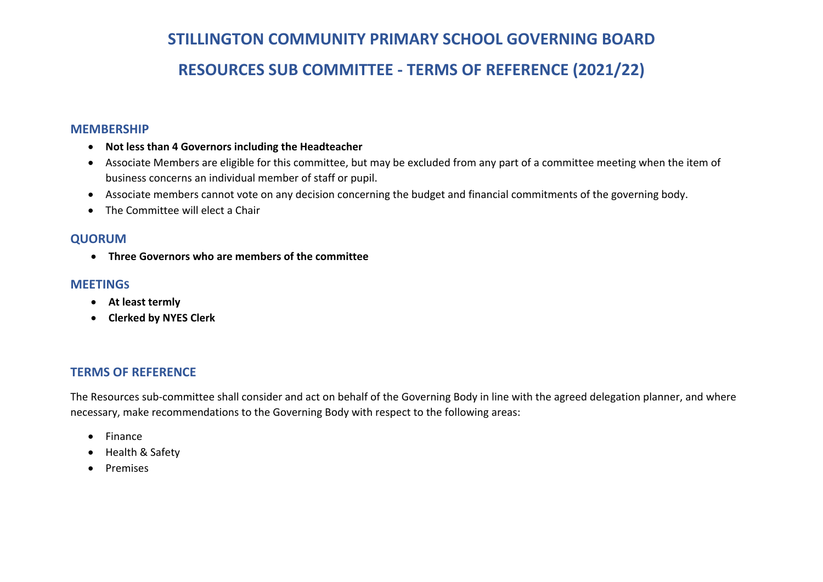# **STILLINGTON COMMUNITY PRIMARY SCHOOL GOVERNING BOARD RESOURCES SUB COMMITTEE - TERMS OF REFERENCE (2021/22)**

## **MEMBERSHIP**

- **Not less than 4 Governors including the Headteacher**
- Associate Members are eligible for this committee, but may be excluded from any part of a committee meeting when the item of business concerns an individual member of staff or pupil.
- Associate members cannot vote on any decision concerning the budget and financial commitments of the governing body.
- The Committee will elect a Chair

# **QUORUM**

• **Three Governors who are members of the committee**

## **MEETINGS**

- **At least termly**
- **Clerked by NYES Clerk**

# **TERMS OF REFERENCE**

The Resources sub-committee shall consider and act on behalf of the Governing Body in line with the agreed delegation planner, and where necessary, make recommendations to the Governing Body with respect to the following areas:

- Finance
- Health & Safety
- Premises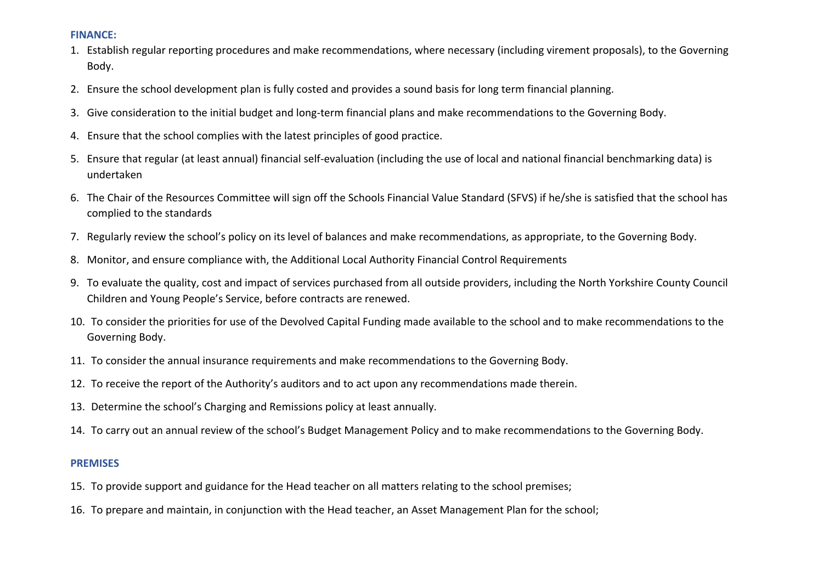#### **FINANCE:**

- 1. Establish regular reporting procedures and make recommendations, where necessary (including virement proposals), to the Governing Body.
- 2. Ensure the school development plan is fully costed and provides a sound basis for long term financial planning.
- 3. Give consideration to the initial budget and long-term financial plans and make recommendations to the Governing Body.
- 4. Ensure that the school complies with the latest principles of good practice.
- 5. Ensure that regular (at least annual) financial self-evaluation (including the use of local and national financial benchmarking data) is undertaken
- 6. The Chair of the Resources Committee will sign off the Schools Financial Value Standard (SFVS) if he/she is satisfied that the school has complied to the standards
- 7. Regularly review the school's policy on its level of balances and make recommendations, as appropriate, to the Governing Body.
- 8. Monitor, and ensure compliance with, the Additional Local Authority Financial Control Requirements
- 9. To evaluate the quality, cost and impact of services purchased from all outside providers, including the North Yorkshire County Council Children and Young People's Service, before contracts are renewed.
- 10. To consider the priorities for use of the Devolved Capital Funding made available to the school and to make recommendations to the Governing Body.
- 11. To consider the annual insurance requirements and make recommendations to the Governing Body.
- 12. To receive the report of the Authority's auditors and to act upon any recommendations made therein.
- 13. Determine the school's Charging and Remissions policy at least annually.
- 14. To carry out an annual review of the school's Budget Management Policy and to make recommendations to the Governing Body.

#### **PREMISES**

- 15. To provide support and guidance for the Head teacher on all matters relating to the school premises;
- 16. To prepare and maintain, in conjunction with the Head teacher, an Asset Management Plan for the school;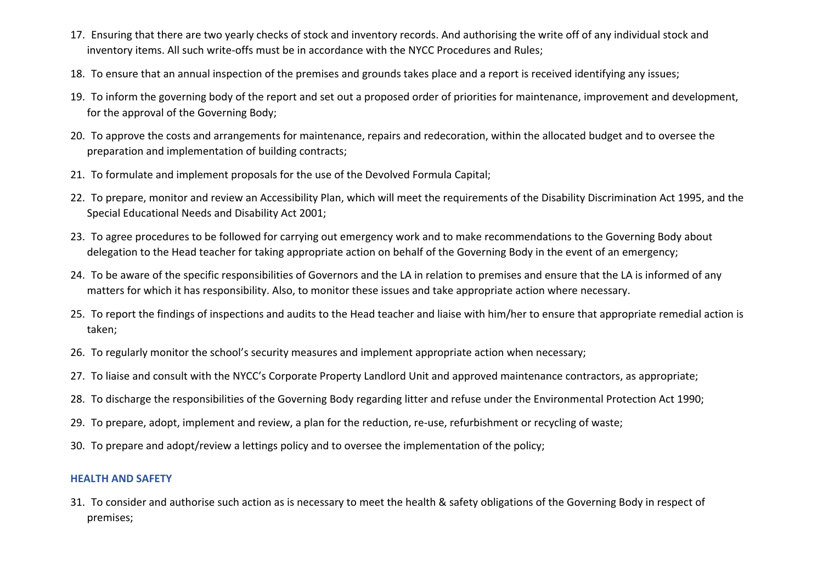- 17. Ensuring that there are two yearly checks of stock and inventory records. And authorising the write off of any individual stock and inventory items. All such write-offs must be in accordance with the NYCC Procedures and Rules;
- 18. To ensure that an annual inspection of the premises and grounds takes place and a report is received identifying any issues;
- 19. To inform the governing body of the report and set out a proposed order of priorities for maintenance, improvement and development, for the approval of the Governing Body;
- 20. To approve the costs and arrangements for maintenance, repairs and redecoration, within the allocated budget and to oversee the preparation and implementation of building contracts;
- 21. To formulate and implement proposals for the use of the Devolved Formula Capital;
- 22. To prepare, monitor and review an Accessibility Plan, which will meet the requirements of the Disability Discrimination Act 1995, and the Special Educational Needs and Disability Act 2001;
- 23. To agree procedures to be followed for carrying out emergency work and to make recommendations to the Governing Body about delegation to the Head teacher for taking appropriate action on behalf of the Governing Body in the event of an emergency;
- 24. To be aware of the specific responsibilities of Governors and the LA in relation to premises and ensure that the LA is informed of any matters for which it has responsibility. Also, to monitor these issues and take appropriate action where necessary.
- 25. To report the findings of inspections and audits to the Head teacher and liaise with him/her to ensure that appropriate remedial action is taken;
- 26. To regularly monitor the school's security measures and implement appropriate action when necessary;
- 27. To liaise and consult with the NYCC's Corporate Property Landlord Unit and approved maintenance contractors, as appropriate;
- 28. To discharge the responsibilities of the Governing Body regarding litter and refuse under the Environmental Protection Act 1990;
- 29. To prepare, adopt, implement and review, a plan for the reduction, re-use, refurbishment or recycling of waste;
- 30. To prepare and adopt/review a lettings policy and to oversee the implementation of the policy;

## **HEALTH AND SAFETY**

31. To consider and authorise such action as is necessary to meet the health & safety obligations of the Governing Body in respect of premises;